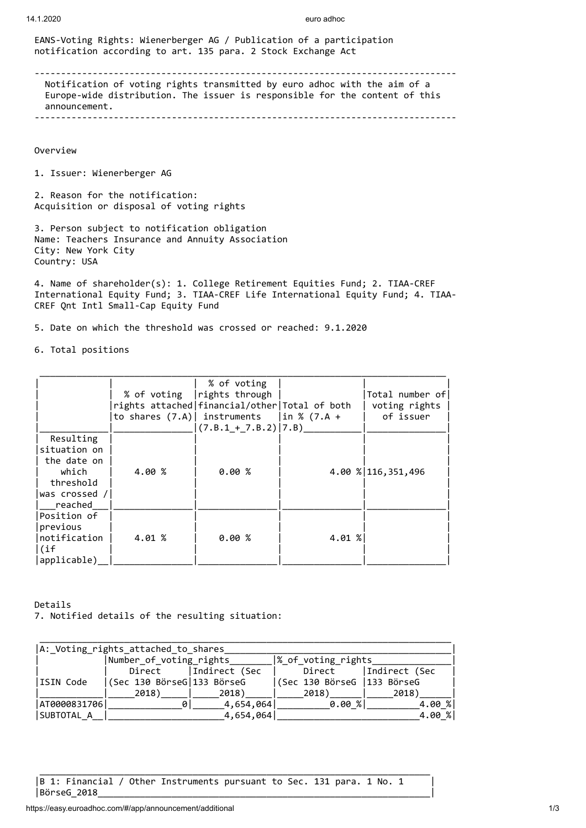EANS-Voting Rights: Wienerberger AG / Publication of a participation notification according to art. 135 para. 2 Stock Exchange Act

-------------------------------------------------------------------------------- Notification of voting rights transmitted by euro adhoc with the aim of a Europe-wide distribution. The issuer is responsible for the content of this announcement. --------------------------------------------------------------------------------

Overview

1. Issuer: Wienerberger AG

2. Reason for the notification: Acquisition or disposal of voting rights

3. Person subject to notification obligation Name: Teachers Insurance and Annuity Association City: New York City Country: USA

4. Name of shareholder(s): 1. College Retirement Equities Fund; 2. TIAA-CREF International Equity Fund; 3. TIAA-CREF Life International Equity Fund; 4. TIAA-CREF Qnt Intl Small-Cap Equity Fund

5. Date on which the threshold was crossed or reached: 9.1.2020

6. Total positions

|                                                                                            |        | % of voting<br>% of voting   rights through<br>rights attached   financial/other   Total of both<br>to shares $(7.A)$ instruments   in % $(7.A +$<br>$(7.B.1 + 7.B.2)   7.B)$ |             | Total number of<br>voting rights<br>of issuer |
|--------------------------------------------------------------------------------------------|--------|-------------------------------------------------------------------------------------------------------------------------------------------------------------------------------|-------------|-----------------------------------------------|
| Resulting<br>situation on<br>the date on<br>which<br>threshold<br>was crossed /<br>reached | 4.00 % | 0.00%                                                                                                                                                                         |             | 4.00 % 116, 351, 496                          |
| Position of<br>previous<br>Inotification<br>l(if<br>applicable)                            | 4.01 % | 0.00%                                                                                                                                                                         | $4.01 \;$ % |                                               |

Details 7. Notified details of the resulting situation:

| A: Voting rights attached to shares |                            |               |                              |                  |  |
|-------------------------------------|----------------------------|---------------|------------------------------|------------------|--|
|                                     | Number of voting rights    |               | % of voting rights           |                  |  |
|                                     | Direct                     | Indirect (Sec | Direct                       | Indirect (Sec    |  |
| ISIN Code                           | (Sec 130 BörseG 133 BörseG |               | (Sec 130 BörseG   133 BörseG |                  |  |
|                                     | 2018)                      | 2018)         | 2018)                        | 2018)            |  |
| AT0000831706                        | ø                          | 4,654,064     | $0.00$ %                     | $4.00 \text{ %}$ |  |
| SUBTOTAL A                          |                            | 4,654,064     |                              | $4.00 \text{ %}$ |  |

|B 1: Financial / Other Instruments pursuant to Sec. 131 para. 1 No. 1 | |BörseG\_2018\_\_\_\_\_\_\_\_\_\_\_\_\_\_\_\_\_\_\_\_\_\_\_\_\_\_\_\_\_\_\_\_\_\_\_\_\_\_\_\_\_\_\_\_\_\_\_\_\_\_\_\_\_\_\_\_\_\_\_\_\_\_\_|

\_\_\_\_\_\_\_\_\_\_\_\_\_\_\_\_\_\_\_\_\_\_\_\_\_\_\_\_\_\_\_\_\_\_\_\_\_\_\_\_\_\_\_\_\_\_\_\_\_\_\_\_\_\_\_\_\_\_\_\_\_\_\_\_\_\_\_\_\_\_\_\_\_\_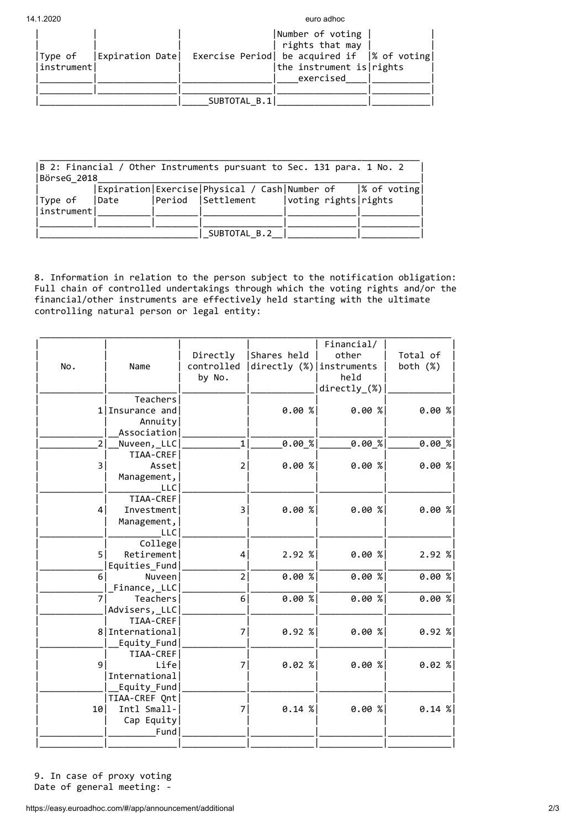14.1.2020 euro adhoc

| Expiration Date<br> Type of<br> instrument | Number of voting<br>rights that may<br>Exercise Period  be acquired if  % of voting <br>the instrument is rights<br>exercised |
|--------------------------------------------|-------------------------------------------------------------------------------------------------------------------------------|
|                                            | SUBTOTAL B.1                                                                                                                  |

| $ B \; 2$ : Financial / Other Instruments pursuant to Sec. 131 para. 1 No. 2 |      |  |                                                                  |                      |  |
|------------------------------------------------------------------------------|------|--|------------------------------------------------------------------|----------------------|--|
| BörseG 2018                                                                  |      |  |                                                                  |                      |  |
|                                                                              |      |  | Expiration   Exercise   Physical / Cash   Number of  % of voting |                      |  |
| Type of                                                                      | Date |  | Period  Settlement                                               | voting rights rights |  |
| instrument                                                                   |      |  |                                                                  |                      |  |
|                                                                              |      |  |                                                                  |                      |  |
|                                                                              |      |  | SUBTOTAL B.2                                                     |                      |  |

8. Information in relation to the person subject to the notification obligation: Full chain of controlled undertakings through which the voting rights and/or the financial/other instruments are effectively held starting with the ultimate controlling natural person or legal entity:

|                 |                 |                         |                            | Financial/            |             |
|-----------------|-----------------|-------------------------|----------------------------|-----------------------|-------------|
|                 |                 | Directly                | Shares held                | other                 | Total of    |
| No.             | Name            | controlled              | directly (%)   instruments |                       | both $(\%)$ |
|                 |                 | by No.                  |                            | held                  |             |
|                 |                 |                         |                            | $directly_{\sim}(\%)$ |             |
|                 | Teachers        |                         |                            |                       |             |
|                 | 1 Insurance and |                         | $0.00$ %                   | $0.00$ %              | $0.00$ %    |
|                 | Annuity         |                         |                            |                       |             |
|                 | Association     |                         |                            |                       |             |
| 2 <sup>1</sup>  | Nuveen,_LLC     | $\mathbf{1}$            | 0.00 x                     | [0.00%                | [0.00%]     |
|                 | TIAA-CREF       |                         |                            |                       |             |
| 3               | Assetl          | 2                       | $0.00$ %                   | $0.00$ %              | $0.00$ %    |
|                 | Management,     |                         |                            |                       |             |
|                 | <b>LLC</b>      |                         |                            |                       |             |
|                 | TIAA-CREF       |                         |                            |                       |             |
| 4               | Investment      | $\overline{\mathbf{3}}$ | $0.00$ %                   | 0.00 %                | 0.00 %      |
|                 | Management,     |                         |                            |                       |             |
|                 | <b>LLC</b>      |                         |                            |                       |             |
|                 | College         |                         |                            |                       |             |
| 5               | Retirement      | 4                       | $2.92$ %                   | $0.00$ %              | 2.92 %      |
|                 | Equities Fund   |                         |                            |                       |             |
| 6               | Nuveen          | $\overline{2}$          | 0.00 %                     | $0.00$ %              | 0.00 %      |
|                 | Finance, LLC    |                         |                            |                       |             |
| $\overline{7}$  | Teachers        | 6                       | $0.00$ %                   | $0.00$ %              | 0.00 %      |
|                 | Advisers, _LLC  |                         |                            |                       |             |
|                 | TIAA-CREF       |                         |                            |                       |             |
|                 | 8 International | 7                       | $0.92$ %                   | 0.00 %                | $0.92$ %    |
|                 | Equity_Fund     |                         |                            |                       |             |
|                 | TIAA-CREF       |                         |                            |                       |             |
| 9               | Life            | 7 <sup>1</sup>          | $0.02$ %                   | $0.00$ %              | $0.02$ %    |
|                 | International   |                         |                            |                       |             |
|                 | Equity_Fund     |                         |                            |                       |             |
|                 | TIAA-CREF Qnt   |                         |                            |                       |             |
| 10 <sub>1</sub> | Intl Small-     | 7                       | $0.14$ %                   | $0.00$ %              | $0.14$ %    |
|                 | Cap Equity      |                         |                            |                       |             |
|                 | Fund            |                         |                            |                       |             |
|                 |                 |                         |                            |                       |             |